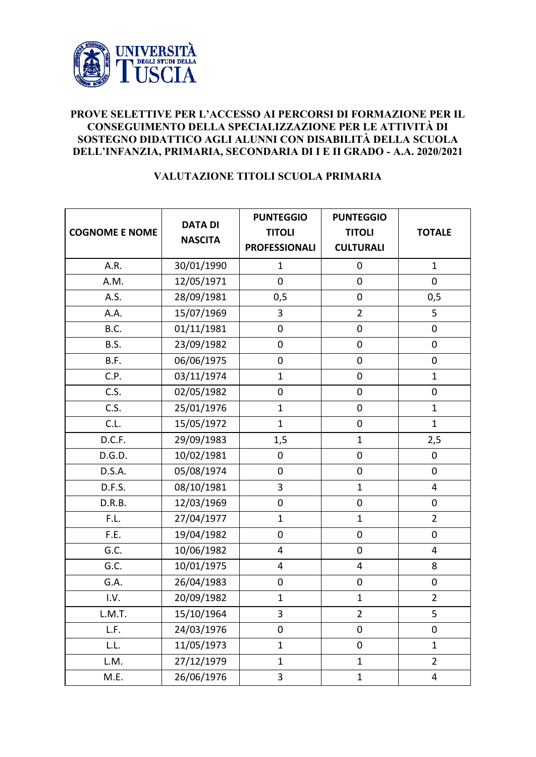

## **PROVE SELETTIVE PER L'ACCESSO AI PERCORSI DI FORMAZIONE PER IL CONSEGUIMENTO DELLA SPECIALIZZAZIONE PER LE ATTIVITÀ DI SOSTEGNO DIDATTICO AGLI ALUNNI CON DISABILITÀ DELLA SCUOLA DELL'INFANZIA, PRIMARIA, SECONDARIA DI I E II GRADO - A.A. 2020/2021**

## **VALUTAZIONE TITOLI SCUOLA PRIMARIA**

| <b>COGNOME E NOME</b> | <b>DATA DI</b><br><b>NASCITA</b> | <b>PUNTEGGIO</b><br><b>TITOLI</b><br><b>PROFESSIONALI</b> | <b>PUNTEGGIO</b><br><b>TITOLI</b><br><b>CULTURALI</b> | <b>TOTALE</b>    |
|-----------------------|----------------------------------|-----------------------------------------------------------|-------------------------------------------------------|------------------|
| A.R.                  | 30/01/1990                       | $\mathbf{1}$                                              | $\mathbf 0$                                           | $\mathbf{1}$     |
| A.M.                  | 12/05/1971                       | $\mathbf 0$                                               | $\mathbf 0$                                           | $\mathbf 0$      |
| A.S.                  | 28/09/1981                       | 0,5                                                       | $\boldsymbol{0}$                                      | 0,5              |
| A.A.                  | 15/07/1969                       | 3                                                         | $\overline{2}$                                        | 5                |
| B.C.                  | 01/11/1981                       | $\mathbf 0$                                               | $\boldsymbol{0}$                                      | $\pmb{0}$        |
| B.S.                  | 23/09/1982                       | $\boldsymbol{0}$                                          | $\boldsymbol{0}$                                      | $\pmb{0}$        |
| B.F.                  | 06/06/1975                       | $\boldsymbol{0}$                                          | $\boldsymbol{0}$                                      | $\boldsymbol{0}$ |
| C.P.                  | 03/11/1974                       | $\mathbf{1}$                                              | $\mathbf 0$                                           | $\mathbf{1}$     |
| C.S.                  | 02/05/1982                       | $\pmb{0}$                                                 | $\boldsymbol{0}$                                      | $\pmb{0}$        |
| C.S.                  | 25/01/1976                       | $\mathbf{1}$                                              | $\boldsymbol{0}$                                      | $\mathbf{1}$     |
| C.L.                  | 15/05/1972                       | $\mathbf{1}$                                              | $\boldsymbol{0}$                                      | $\mathbf{1}$     |
| D.C.F.                | 29/09/1983                       | 1,5                                                       | $\mathbf{1}$                                          | 2,5              |
| D.G.D.                | 10/02/1981                       | $\pmb{0}$                                                 | $\pmb{0}$                                             | $\boldsymbol{0}$ |
| D.S.A.                | 05/08/1974                       | $\mathbf 0$                                               | $\mathbf 0$                                           | $\mathbf 0$      |
| D.F.S.                | 08/10/1981                       | 3                                                         | $\mathbf{1}$                                          | 4                |
| D.R.B.                | 12/03/1969                       | $\mathbf 0$                                               | $\mathbf 0$                                           | $\boldsymbol{0}$ |
| F.L.                  | 27/04/1977                       | $\mathbf{1}$                                              | $\mathbf{1}$                                          | $\overline{2}$   |
| F.E.                  | 19/04/1982                       | $\pmb{0}$                                                 | $\boldsymbol{0}$                                      | $\mathbf 0$      |
| G.C.                  | 10/06/1982                       | 4                                                         | $\boldsymbol{0}$                                      | 4                |
| G.C.                  | 10/01/1975                       | 4                                                         | 4                                                     | 8                |
| G.A.                  | 26/04/1983                       | $\pmb{0}$                                                 | $\pmb{0}$                                             | $\pmb{0}$        |
| I.V.                  | 20/09/1982                       | $\mathbf{1}$                                              | $\mathbf{1}$                                          | $\overline{2}$   |
| L.M.T.                | 15/10/1964                       | $\overline{3}$                                            | $\overline{2}$                                        | 5                |
| L.F.                  | 24/03/1976                       | 0                                                         | 0                                                     | 0                |
| L.L.                  | 11/05/1973                       | $\mathbf{1}$                                              | $\mathbf 0$                                           | $\mathbf{1}$     |
| L.M.                  | 27/12/1979                       | $\mathbf{1}$                                              | $\mathbf{1}$                                          | $\overline{2}$   |
| M.E.                  | 26/06/1976                       | 3                                                         | $\mathbf{1}$                                          | 4                |